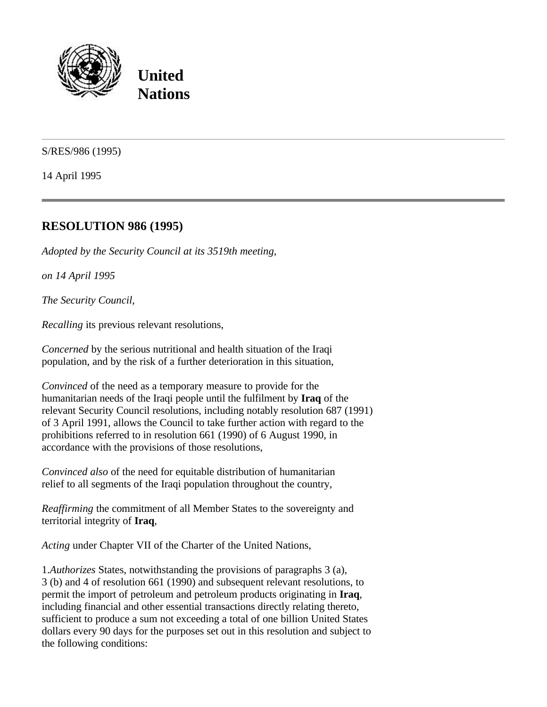

**United Nations**

S/RES/986 (1995)

14 April 1995

## **RESOLUTION 986 (1995)**

*Adopted by the Security Council at its 3519th meeting*,

*on 14 April 1995*

*The Security Council*,

*Recalling* its previous relevant resolutions,

*Concerned* by the serious nutritional and health situation of the Iraqi population, and by the risk of a further deterioration in this situation,

*Convinced* of the need as a temporary measure to provide for the humanitarian needs of the Iraqi people until the fulfilment by **Iraq** of the relevant Security Council resolutions, including notably resolution 687 (1991) of 3 April 1991, allows the Council to take further action with regard to the prohibitions referred to in resolution 661 (1990) of 6 August 1990, in accordance with the provisions of those resolutions,

*Convinced also* of the need for equitable distribution of humanitarian relief to all segments of the Iraqi population throughout the country,

*Reaffirming* the commitment of all Member States to the sovereignty and territorial integrity of **Iraq**,

*Acting* under Chapter VII of the Charter of the United Nations,

1.*Authorizes* States, notwithstanding the provisions of paragraphs 3 (a), 3 (b) and 4 of resolution 661 (1990) and subsequent relevant resolutions, to permit the import of petroleum and petroleum products originating in **Iraq**, including financial and other essential transactions directly relating thereto, sufficient to produce a sum not exceeding a total of one billion United States dollars every 90 days for the purposes set out in this resolution and subject to the following conditions: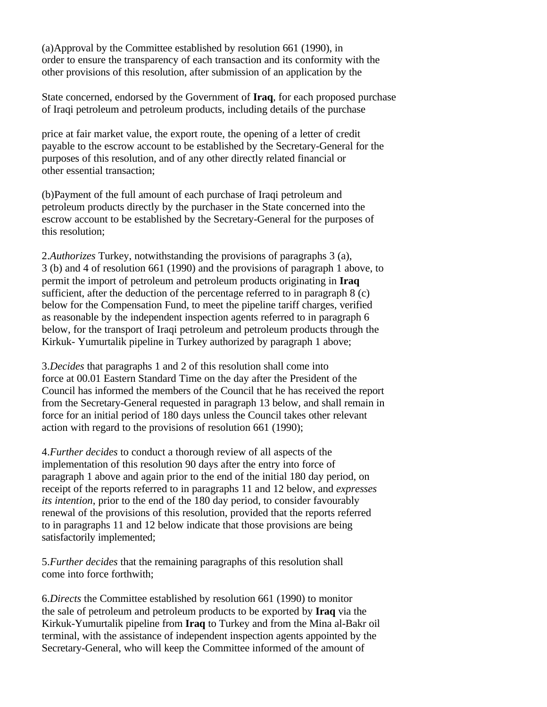(a)Approval by the Committee established by resolution 661 (1990), in order to ensure the transparency of each transaction and its conformity with the other provisions of this resolution, after submission of an application by the

State concerned, endorsed by the Government of **Iraq**, for each proposed purchase of Iraqi petroleum and petroleum products, including details of the purchase

price at fair market value, the export route, the opening of a letter of credit payable to the escrow account to be established by the Secretary-General for the purposes of this resolution, and of any other directly related financial or other essential transaction;

(b)Payment of the full amount of each purchase of Iraqi petroleum and petroleum products directly by the purchaser in the State concerned into the escrow account to be established by the Secretary-General for the purposes of this resolution;

2.*Authorizes* Turkey, notwithstanding the provisions of paragraphs 3 (a), 3 (b) and 4 of resolution 661 (1990) and the provisions of paragraph 1 above, to permit the import of petroleum and petroleum products originating in **Iraq** sufficient, after the deduction of the percentage referred to in paragraph 8 (c) below for the Compensation Fund, to meet the pipeline tariff charges, verified as reasonable by the independent inspection agents referred to in paragraph 6 below, for the transport of Iraqi petroleum and petroleum products through the Kirkuk- Yumurtalik pipeline in Turkey authorized by paragraph 1 above;

3.*Decides* that paragraphs 1 and 2 of this resolution shall come into force at 00.01 Eastern Standard Time on the day after the President of the Council has informed the members of the Council that he has received the report from the Secretary-General requested in paragraph 13 below, and shall remain in force for an initial period of 180 days unless the Council takes other relevant action with regard to the provisions of resolution 661 (1990);

4.*Further decides* to conduct a thorough review of all aspects of the implementation of this resolution 90 days after the entry into force of paragraph 1 above and again prior to the end of the initial 180 day period, on receipt of the reports referred to in paragraphs 11 and 12 below, and *expresses its intention*, prior to the end of the 180 day period, to consider favourably renewal of the provisions of this resolution, provided that the reports referred to in paragraphs 11 and 12 below indicate that those provisions are being satisfactorily implemented;

5.*Further decides* that the remaining paragraphs of this resolution shall come into force forthwith;

6.*Directs* the Committee established by resolution 661 (1990) to monitor the sale of petroleum and petroleum products to be exported by **Iraq** via the Kirkuk-Yumurtalik pipeline from **Iraq** to Turkey and from the Mina al-Bakr oil terminal, with the assistance of independent inspection agents appointed by the Secretary-General, who will keep the Committee informed of the amount of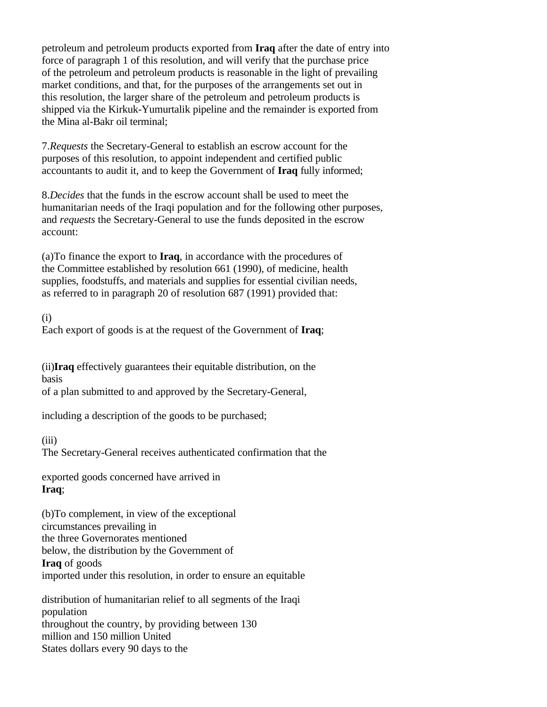petroleum and petroleum products exported from **Iraq** after the date of entry into force of paragraph 1 of this resolution, and will verify that the purchase price of the petroleum and petroleum products is reasonable in the light of prevailing market conditions, and that, for the purposes of the arrangements set out in this resolution, the larger share of the petroleum and petroleum products is shipped via the Kirkuk-Yumurtalik pipeline and the remainder is exported from the Mina al-Bakr oil terminal;

7.*Requests* the Secretary-General to establish an escrow account for the purposes of this resolution, to appoint independent and certified public accountants to audit it, and to keep the Government of **Iraq** fully informed;

8.*Decides* that the funds in the escrow account shall be used to meet the humanitarian needs of the Iraqi population and for the following other purposes, and *requests* the Secretary-General to use the funds deposited in the escrow account:

(a)To finance the export to **Iraq**, in accordance with the procedures of the Committee established by resolution 661 (1990), of medicine, health supplies, foodstuffs, and materials and supplies for essential civilian needs, as referred to in paragraph 20 of resolution 687 (1991) provided that:

(i)

Each export of goods is at the request of the Government of **Iraq**;

(ii)**Iraq** effectively guarantees their equitable distribution, on the basis

of a plan submitted to and approved by the Secretary-General,

including a description of the goods to be purchased;

(iii)

The Secretary-General receives authenticated confirmation that the

exported goods concerned have arrived in **Iraq**;

(b)To complement, in view of the exceptional circumstances prevailing in the three Governorates mentioned below, the distribution by the Government of **Iraq** of goods imported under this resolution, in order to ensure an equitable

distribution of humanitarian relief to all segments of the Iraqi population throughout the country, by providing between 130 million and 150 million United States dollars every 90 days to the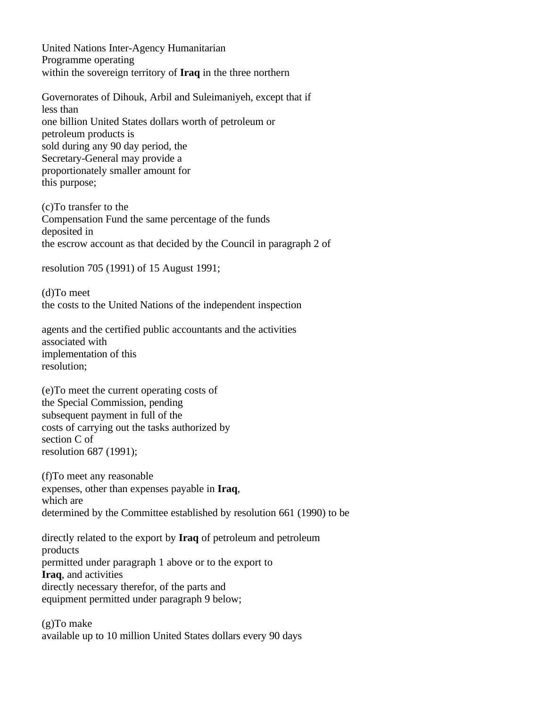United Nations Inter-Agency Humanitarian Programme operating within the sovereign territory of **Iraq** in the three northern

Governorates of Dihouk, Arbil and Suleimaniyeh, except that if less than one billion United States dollars worth of petroleum or petroleum products is sold during any 90 day period, the Secretary-General may provide a proportionately smaller amount for this purpose;

(c)To transfer to the Compensation Fund the same percentage of the funds deposited in the escrow account as that decided by the Council in paragraph 2 of

resolution 705 (1991) of 15 August 1991;

(d)To meet the costs to the United Nations of the independent inspection

agents and the certified public accountants and the activities associated with implementation of this resolution;

(e)To meet the current operating costs of the Special Commission, pending subsequent payment in full of the costs of carrying out the tasks authorized by section C of resolution 687 (1991);

(f)To meet any reasonable expenses, other than expenses payable in **Iraq**, which are determined by the Committee established by resolution 661 (1990) to be

directly related to the export by **Iraq** of petroleum and petroleum products permitted under paragraph 1 above or to the export to **Iraq**, and activities directly necessary therefor, of the parts and equipment permitted under paragraph 9 below;

(g)To make available up to 10 million United States dollars every 90 days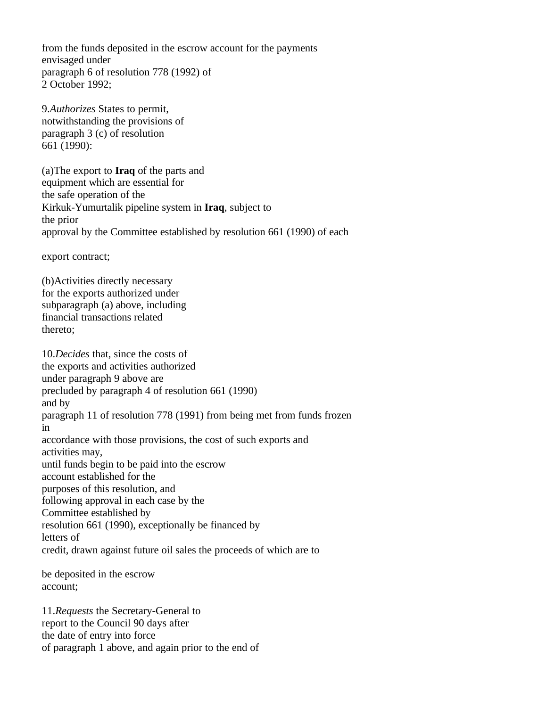from the funds deposited in the escrow account for the payments envisaged under paragraph 6 of resolution 778 (1992) of 2 October 1992;

9.*Authorizes* States to permit, notwithstanding the provisions of paragraph 3 (c) of resolution 661 (1990):

(a)The export to **Iraq** of the parts and equipment which are essential for the safe operation of the Kirkuk-Yumurtalik pipeline system in **Iraq**, subject to the prior approval by the Committee established by resolution 661 (1990) of each

export contract;

(b)Activities directly necessary for the exports authorized under subparagraph (a) above, including financial transactions related thereto;

10.*Decides* that, since the costs of the exports and activities authorized under paragraph 9 above are precluded by paragraph 4 of resolution 661 (1990) and by paragraph 11 of resolution 778 (1991) from being met from funds frozen in accordance with those provisions, the cost of such exports and activities may, until funds begin to be paid into the escrow account established for the purposes of this resolution, and following approval in each case by the Committee established by resolution 661 (1990), exceptionally be financed by letters of credit, drawn against future oil sales the proceeds of which are to

be deposited in the escrow account;

11.*Requests* the Secretary-General to report to the Council 90 days after the date of entry into force of paragraph 1 above, and again prior to the end of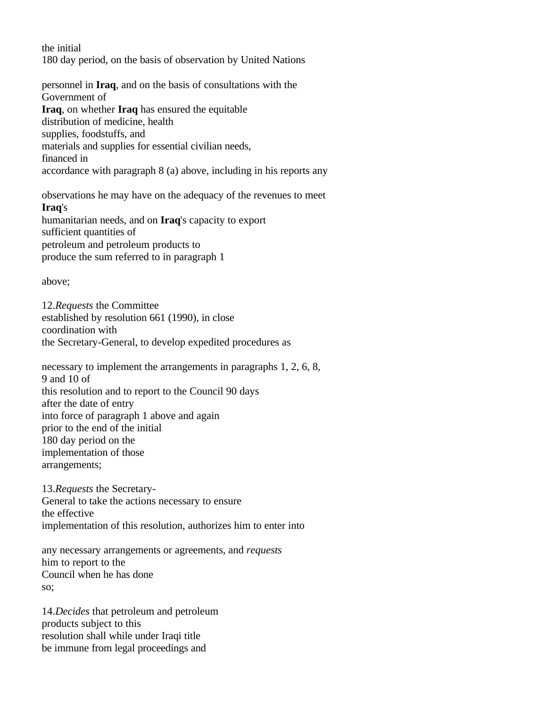the initial 180 day period, on the basis of observation by United Nations

personnel in **Iraq**, and on the basis of consultations with the Government of **Iraq**, on whether **Iraq** has ensured the equitable distribution of medicine, health supplies, foodstuffs, and materials and supplies for essential civilian needs, financed in accordance with paragraph 8 (a) above, including in his reports any

observations he may have on the adequacy of the revenues to meet **Iraq**'s humanitarian needs, and on **Iraq**'s capacity to export sufficient quantities of petroleum and petroleum products to produce the sum referred to in paragraph 1

above;

12.*Requests* the Committee established by resolution 661 (1990), in close coordination with the Secretary-General, to develop expedited procedures as

necessary to implement the arrangements in paragraphs 1, 2, 6, 8, 9 and 10 of this resolution and to report to the Council 90 days after the date of entry into force of paragraph 1 above and again prior to the end of the initial 180 day period on the implementation of those arrangements;

13.*Requests* the Secretary-General to take the actions necessary to ensure the effective implementation of this resolution, authorizes him to enter into

any necessary arrangements or agreements, and *requests* him to report to the Council when he has done so;

14.*Decides* that petroleum and petroleum products subject to this resolution shall while under Iraqi title be immune from legal proceedings and